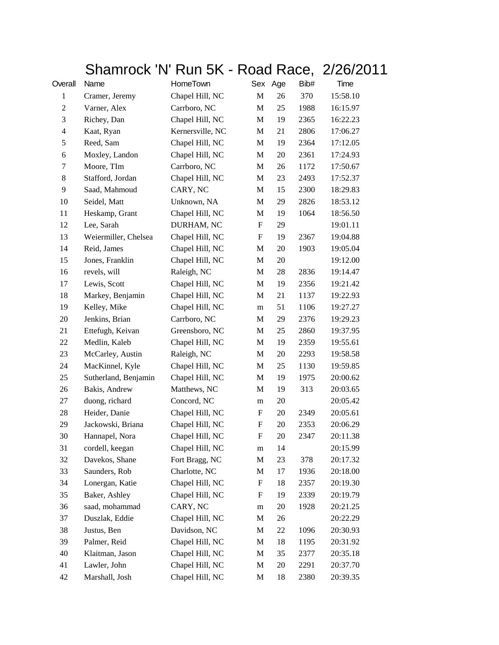## Shamrock 'N' Run 5K - Road Race, 2/26/2011

| Overall        | Name                 | HomeTown         |                           | Sex Age | Bib# | Time     |
|----------------|----------------------|------------------|---------------------------|---------|------|----------|
| $\mathbf{1}$   | Cramer, Jeremy       | Chapel Hill, NC  | $\mathbf M$               | 26      | 370  | 15:58.10 |
| $\mathbf{2}$   | Varner, Alex         | Carrboro, NC     | $\mathbf M$               | 25      | 1988 | 16:15.97 |
| 3              | Richey, Dan          | Chapel Hill, NC  | M                         | 19      | 2365 | 16:22.23 |
| $\overline{4}$ | Kaat, Ryan           | Kernersville, NC | M                         | 21      | 2806 | 17:06.27 |
| $\mathfrak s$  | Reed, Sam            | Chapel Hill, NC  | $\mathbf M$               | 19      | 2364 | 17:12.05 |
| 6              | Moxley, Landon       | Chapel Hill, NC  | M                         | 20      | 2361 | 17:24.93 |
| 7              | Moore, TIm           | Carrboro, NC     | M                         | 26      | 1172 | 17:50.67 |
| $\,8$          | Stafford, Jordan     | Chapel Hill, NC  | M                         | 23      | 2493 | 17:52.37 |
| 9              | Saad, Mahmoud        | CARY, NC         | M                         | 15      | 2300 | 18:29.83 |
| 10             | Seidel, Matt         | Unknown, NA      | M                         | 29      | 2826 | 18:53.12 |
| 11             | Heskamp, Grant       | Chapel Hill, NC  | M                         | 19      | 1064 | 18:56.50 |
| 12             | Lee, Sarah           | DURHAM, NC       | $\boldsymbol{\mathrm{F}}$ | 29      |      | 19:01.11 |
| 13             | Weiermiller, Chelsea | Chapel Hill, NC  | $\boldsymbol{\mathrm{F}}$ | 19      | 2367 | 19:04.88 |
| 14             | Reid, James          | Chapel Hill, NC  | M                         | 20      | 1903 | 19:05.04 |
| 15             | Jones, Franklin      | Chapel Hill, NC  | M                         | 20      |      | 19:12.00 |
| 16             | revels, will         | Raleigh, NC      | M                         | 28      | 2836 | 19:14.47 |
| 17             | Lewis, Scott         | Chapel Hill, NC  | M                         | 19      | 2356 | 19:21.42 |
| 18             | Markey, Benjamin     | Chapel Hill, NC  | $\mathbf M$               | 21      | 1137 | 19:22.93 |
| 19             | Kelley, Mike         | Chapel Hill, NC  | m                         | 51      | 1106 | 19:27.27 |
| 20             | Jenkins, Brian       | Carrboro, NC     | М                         | 29      | 2376 | 19:29.23 |
| 21             | Ettefugh, Keivan     | Greensboro, NC   | M                         | 25      | 2860 | 19:37.95 |
| 22             | Medlin, Kaleb        | Chapel Hill, NC  | M                         | 19      | 2359 | 19:55.61 |
| 23             | McCarley, Austin     | Raleigh, NC      | $\mathbf M$               | 20      | 2293 | 19:58.58 |
| 24             | MacKinnel, Kyle      | Chapel Hill, NC  | M                         | 25      | 1130 | 19:59.85 |
| 25             | Sutherland, Benjamin | Chapel Hill, NC  | $\mathbf M$               | 19      | 1975 | 20:00.62 |
| 26             | Bakis, Andrew        | Matthews, NC     | M                         | 19      | 313  | 20:03.65 |
| 27             | duong, richard       | Concord, NC      | m                         | 20      |      | 20:05.42 |
| 28             | Heider, Danie        | Chapel Hill, NC  | F                         | 20      | 2349 | 20:05.61 |
| 29             | Jackowski, Briana    | Chapel Hill, NC  | F                         | 20      | 2353 | 20:06.29 |
| 30             | Hannapel, Nora       | Chapel Hill, NC  | $\boldsymbol{\mathrm{F}}$ | 20      | 2347 | 20:11.38 |
| 31             | cordell, keegan      | Chapel Hill, NC  | m                         | 14      |      | 20:15.99 |
| 32             | Davekos, Shane       | Fort Bragg, NC   | M                         | 23      | 378  | 20:17.32 |
| 33             | Saunders, Rob        | Charlotte, NC    | M                         | 17      | 1936 | 20:18.00 |
| 34             | Lonergan, Katie      | Chapel Hill, NC  | $\mathbf F$               | 18      | 2357 | 20:19.30 |
| 35             | Baker, Ashley        | Chapel Hill, NC  | $\boldsymbol{\mathrm{F}}$ | 19      | 2339 | 20:19.79 |
| 36             | saad, mohammad       | CARY, NC         | m                         | 20      | 1928 | 20:21.25 |
| 37             | Duszlak, Eddie       | Chapel Hill, NC  | M                         | 26      |      | 20:22.29 |
| 38             | Justus, Ben          | Davidson, NC     | M                         | 22      | 1096 | 20:30.93 |
| 39             | Palmer, Reid         | Chapel Hill, NC  | M                         | 18      | 1195 | 20:31.92 |
| 40             | Klaitman, Jason      | Chapel Hill, NC  | M                         | 35      | 2377 | 20:35.18 |
| 41             | Lawler, John         | Chapel Hill, NC  | M                         | 20      | 2291 | 20:37.70 |
| 42             | Marshall, Josh       | Chapel Hill, NC  | M                         | 18      | 2380 | 20:39.35 |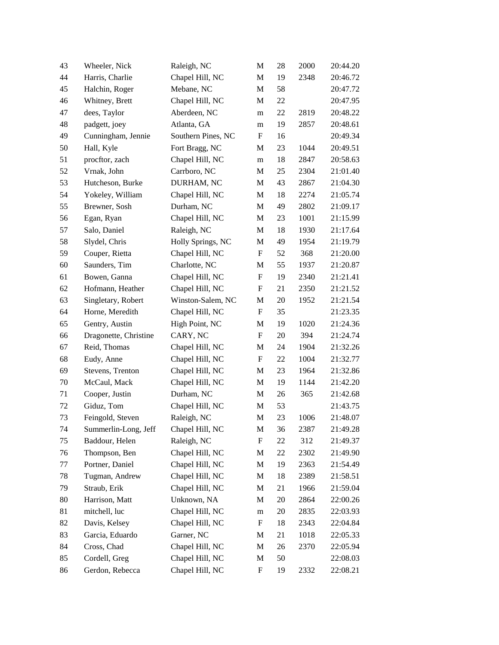| 43 | Wheeler, Nick         | Raleigh, NC        | M                         | 28     | 2000 | 20:44.20 |
|----|-----------------------|--------------------|---------------------------|--------|------|----------|
| 44 | Harris, Charlie       | Chapel Hill, NC    | M                         | 19     | 2348 | 20:46.72 |
| 45 | Halchin, Roger        | Mebane, NC         | M                         | 58     |      | 20:47.72 |
| 46 | Whitney, Brett        | Chapel Hill, NC    | M                         | 22     |      | 20:47.95 |
| 47 | dees, Taylor          | Aberdeen, NC       | m                         | 22     | 2819 | 20:48.22 |
| 48 | padgett, joey         | Atlanta, GA        | m                         | 19     | 2857 | 20:48.61 |
| 49 | Cunningham, Jennie    | Southern Pines, NC | F                         | 16     |      | 20:49.34 |
| 50 | Hall, Kyle            | Fort Bragg, NC     | M                         | 23     | 1044 | 20:49.51 |
| 51 | procftor, zach        | Chapel Hill, NC    | m                         | 18     | 2847 | 20:58.63 |
| 52 | Vrnak, John           | Carrboro, NC       | M                         | 25     | 2304 | 21:01.40 |
| 53 | Hutcheson, Burke      | DURHAM, NC         | M                         | 43     | 2867 | 21:04.30 |
| 54 | Yokeley, William      | Chapel Hill, NC    | M                         | 18     | 2274 | 21:05.74 |
| 55 | Brewner, Sosh         | Durham, NC         | M                         | 49     | 2802 | 21:09.17 |
| 56 | Egan, Ryan            | Chapel Hill, NC    | M                         | 23     | 1001 | 21:15.99 |
| 57 | Salo, Daniel          | Raleigh, NC        | M                         | 18     | 1930 | 21:17.64 |
| 58 | Slydel, Chris         | Holly Springs, NC  | M                         | 49     | 1954 | 21:19.79 |
| 59 | Couper, Rietta        | Chapel Hill, NC    | F                         | 52     | 368  | 21:20.00 |
| 60 | Saunders, Tim         | Charlotte, NC      | M                         | 55     | 1937 | 21:20.87 |
| 61 | Bowen, Ganna          | Chapel Hill, NC    | $\boldsymbol{\mathrm{F}}$ | 19     | 2340 | 21:21.41 |
| 62 | Hofmann, Heather      | Chapel Hill, NC    | F                         | 21     | 2350 | 21:21.52 |
| 63 | Singletary, Robert    | Winston-Salem, NC  | M                         | $20\,$ | 1952 | 21:21.54 |
| 64 | Horne, Meredith       | Chapel Hill, NC    | F                         | 35     |      | 21:23.35 |
| 65 | Gentry, Austin        | High Point, NC     | M                         | 19     | 1020 | 21:24.36 |
| 66 | Dragonette, Christine | CARY, NC           | $\boldsymbol{\mathrm{F}}$ | 20     | 394  | 21:24.74 |
| 67 | Reid, Thomas          | Chapel Hill, NC    | M                         | 24     | 1904 | 21:32.26 |
| 68 | Eudy, Anne            | Chapel Hill, NC    | $\boldsymbol{\mathrm{F}}$ | 22     | 1004 | 21:32.77 |
| 69 | Stevens, Trenton      | Chapel Hill, NC    | M                         | 23     | 1964 | 21:32.86 |
| 70 | McCaul, Mack          | Chapel Hill, NC    | M                         | 19     | 1144 | 21:42.20 |
| 71 | Cooper, Justin        | Durham, NC         | M                         | 26     | 365  | 21:42.68 |
| 72 | Giduz, Tom            | Chapel Hill, NC    | M                         | 53     |      | 21:43.75 |
| 73 | Feingold, Steven      | Raleigh, NC        | M                         | 23     | 1006 | 21:48.07 |
| 74 | Summerlin-Long, Jeff  | Chapel Hill, NC    | M                         | 36     | 2387 | 21:49.28 |
| 75 | Baddour, Helen        | Raleigh, NC        | $\boldsymbol{\mathrm{F}}$ | 22     | 312  | 21:49.37 |
| 76 | Thompson, Ben         | Chapel Hill, NC    | M                         | 22     | 2302 | 21:49.90 |
| 77 | Portner, Daniel       | Chapel Hill, NC    | M                         | 19     | 2363 | 21:54.49 |
| 78 | Tugman, Andrew        | Chapel Hill, NC    | M                         | 18     | 2389 | 21:58.51 |
| 79 | Straub, Erik          | Chapel Hill, NC    | M                         | 21     | 1966 | 21:59.04 |
| 80 | Harrison, Matt        | Unknown, NA        | M                         | $20\,$ | 2864 | 22:00.26 |
| 81 | mitchell, luc         | Chapel Hill, NC    | ${\rm m}$                 | 20     | 2835 | 22:03.93 |
| 82 | Davis, Kelsey         | Chapel Hill, NC    | $\boldsymbol{\mathrm{F}}$ | 18     | 2343 | 22:04.84 |
| 83 | Garcia, Eduardo       | Garner, NC         | M                         | 21     | 1018 | 22:05.33 |
| 84 | Cross, Chad           | Chapel Hill, NC    | M                         | 26     | 2370 | 22:05.94 |
| 85 | Cordell, Greg         | Chapel Hill, NC    | M                         | 50     |      | 22:08.03 |
| 86 | Gerdon, Rebecca       | Chapel Hill, NC    | $\boldsymbol{\mathrm{F}}$ | 19     | 2332 | 22:08.21 |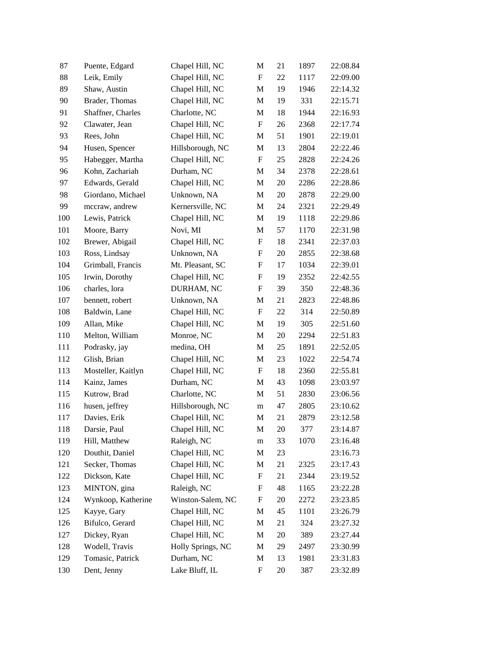| 87  | Puente, Edgard     | Chapel Hill, NC   | M                         | 21     | 1897 | 22:08.84 |
|-----|--------------------|-------------------|---------------------------|--------|------|----------|
| 88  | Leik, Emily        | Chapel Hill, NC   | F                         | 22     | 1117 | 22:09.00 |
| 89  | Shaw, Austin       | Chapel Hill, NC   | M                         | 19     | 1946 | 22:14.32 |
| 90  | Brader, Thomas     | Chapel Hill, NC   | M                         | 19     | 331  | 22:15.71 |
| 91  | Shaffner, Charles  | Charlotte, NC     | M                         | 18     | 1944 | 22:16.93 |
| 92  | Clawater, Jean     | Chapel Hill, NC   | $\boldsymbol{\mathrm{F}}$ | 26     | 2368 | 22:17.74 |
| 93  | Rees, John         | Chapel Hill, NC   | M                         | 51     | 1901 | 22:19.01 |
| 94  | Husen, Spencer     | Hillsborough, NC  | M                         | 13     | 2804 | 22:22.46 |
| 95  | Habegger, Martha   | Chapel Hill, NC   | $\boldsymbol{\mathrm{F}}$ | 25     | 2828 | 22:24.26 |
| 96  | Kohn, Zachariah    | Durham, NC        | M                         | 34     | 2378 | 22:28.61 |
| 97  | Edwards, Gerald    | Chapel Hill, NC   | M                         | $20\,$ | 2286 | 22:28.86 |
| 98  | Giordano, Michael  | Unknown, NA       | M                         | 20     | 2878 | 22:29.00 |
| 99  | mccraw, andrew     | Kernersville, NC  | M                         | 24     | 2321 | 22:29.49 |
| 100 | Lewis, Patrick     | Chapel Hill, NC   | M                         | 19     | 1118 | 22:29.86 |
| 101 | Moore, Barry       | Novi, MI          | M                         | 57     | 1170 | 22:31.98 |
| 102 | Brewer, Abigail    | Chapel Hill, NC   | F                         | 18     | 2341 | 22:37.03 |
| 103 | Ross, Lindsay      | Unknown, NA       | F                         | 20     | 2855 | 22:38.68 |
| 104 | Grimball, Francis  | Mt. Pleasant, SC  | $\boldsymbol{F}$          | 17     | 1034 | 22:39.01 |
| 105 | Irwin, Dorothy     | Chapel Hill, NC   | $\boldsymbol{F}$          | 19     | 2352 | 22:42.55 |
| 106 | charles, lora      | DURHAM, NC        | F                         | 39     | 350  | 22:48.36 |
| 107 | bennett, robert    | Unknown, NA       | M                         | 21     | 2823 | 22:48.86 |
| 108 | Baldwin, Lane      | Chapel Hill, NC   | F                         | 22     | 314  | 22:50.89 |
| 109 | Allan, Mike        | Chapel Hill, NC   | M                         | 19     | 305  | 22:51.60 |
| 110 | Melton, William    | Monroe, NC        | M                         | 20     | 2294 | 22:51.83 |
| 111 | Podrasky, jay      | medina, OH        | M                         | 25     | 1891 | 22:52.05 |
| 112 | Glish, Brian       | Chapel Hill, NC   | M                         | 23     | 1022 | 22:54.74 |
| 113 | Mosteller, Kaitlyn | Chapel Hill, NC   | $\boldsymbol{\mathrm{F}}$ | 18     | 2360 | 22:55.81 |
| 114 | Kainz, James       | Durham, NC        | M                         | 43     | 1098 | 23:03.97 |
| 115 | Kutrow, Brad       | Charlotte, NC     | M                         | 51     | 2830 | 23:06.56 |
| 116 | husen, jeffrey     | Hillsborough, NC  | m                         | 47     | 2805 | 23:10.62 |
| 117 | Davies, Erik       | Chapel Hill, NC   | M                         | 21     | 2879 | 23:12.58 |
| 118 | Darsie, Paul       | Chapel Hill, NC   | M                         | 20     | 377  | 23:14.87 |
| 119 | Hill, Matthew      | Raleigh, NC       | m                         | 33     | 1070 | 23:16.48 |
| 120 | Douthit, Daniel    | Chapel Hill, NC   | M                         | 23     |      | 23:16.73 |
| 121 | Secker, Thomas     | Chapel Hill, NC   | M                         | 21     | 2325 | 23:17.43 |
| 122 | Dickson, Kate      | Chapel Hill, NC   | $\boldsymbol{\mathrm{F}}$ | 21     | 2344 | 23:19.52 |
| 123 | MINTON, gina       | Raleigh, NC       | $\boldsymbol{F}$          | 48     | 1165 | 23:22.28 |
| 124 | Wynkoop, Katherine | Winston-Salem, NC | $\boldsymbol{F}$          | 20     | 2272 | 23:23.85 |
| 125 | Kayye, Gary        | Chapel Hill, NC   | M                         | 45     | 1101 | 23:26.79 |
| 126 | Bifulco, Gerard    | Chapel Hill, NC   | M                         | 21     | 324  | 23:27.32 |
| 127 | Dickey, Ryan       | Chapel Hill, NC   | M                         | 20     | 389  | 23:27.44 |
| 128 | Wodell, Travis     | Holly Springs, NC | M                         | 29     | 2497 | 23:30.99 |
| 129 | Tomasic, Patrick   | Durham, NC        | M                         | 13     | 1981 | 23:31.83 |
| 130 | Dent, Jenny        | Lake Bluff, IL    | $\boldsymbol{\mathrm{F}}$ | 20     | 387  | 23:32.89 |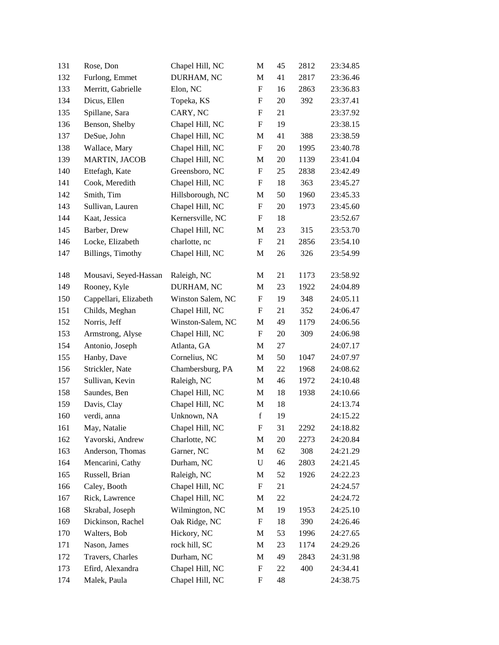| 131 | Rose, Don             | Chapel Hill, NC   | M                         | 45 | 2812 | 23:34.85 |
|-----|-----------------------|-------------------|---------------------------|----|------|----------|
| 132 | Furlong, Emmet        | DURHAM, NC        | M                         | 41 | 2817 | 23:36.46 |
| 133 | Merritt, Gabrielle    | Elon, NC          | $\boldsymbol{\mathrm{F}}$ | 16 | 2863 | 23:36.83 |
| 134 | Dicus, Ellen          | Topeka, KS        | F                         | 20 | 392  | 23:37.41 |
| 135 | Spillane, Sara        | CARY, NC          | F                         | 21 |      | 23:37.92 |
| 136 | Benson, Shelby        | Chapel Hill, NC   | $\boldsymbol{\mathrm{F}}$ | 19 |      | 23:38.15 |
| 137 | DeSue, John           | Chapel Hill, NC   | M                         | 41 | 388  | 23:38.59 |
| 138 | Wallace, Mary         | Chapel Hill, NC   | $\boldsymbol{\mathrm{F}}$ | 20 | 1995 | 23:40.78 |
| 139 | MARTIN, JACOB         | Chapel Hill, NC   | M                         | 20 | 1139 | 23:41.04 |
| 140 | Ettefagh, Kate        | Greensboro, NC    | $\boldsymbol{\mathrm{F}}$ | 25 | 2838 | 23:42.49 |
| 141 | Cook, Meredith        | Chapel Hill, NC   | $\boldsymbol{F}$          | 18 | 363  | 23:45.27 |
| 142 | Smith, Tim            | Hillsborough, NC  | M                         | 50 | 1960 | 23:45.33 |
| 143 | Sullivan, Lauren      | Chapel Hill, NC   | $\boldsymbol{\mathrm{F}}$ | 20 | 1973 | 23:45.60 |
| 144 | Kaat, Jessica         | Kernersville, NC  | $\boldsymbol{F}$          | 18 |      | 23:52.67 |
| 145 | Barber, Drew          | Chapel Hill, NC   | M                         | 23 | 315  | 23:53.70 |
| 146 | Locke, Elizabeth      | charlotte, nc     | $\boldsymbol{\mathrm{F}}$ | 21 | 2856 | 23:54.10 |
| 147 | Billings, Timothy     | Chapel Hill, NC   | M                         | 26 | 326  | 23:54.99 |
| 148 | Mousavi, Seyed-Hassan | Raleigh, NC       | M                         | 21 | 1173 | 23:58.92 |
| 149 | Rooney, Kyle          | DURHAM, NC        | M                         | 23 | 1922 | 24:04.89 |
| 150 | Cappellari, Elizabeth | Winston Salem, NC | $\boldsymbol{F}$          | 19 | 348  | 24:05.11 |
| 151 | Childs, Meghan        | Chapel Hill, NC   | F                         | 21 | 352  | 24:06.47 |
| 152 | Norris, Jeff          | Winston-Salem, NC | M                         | 49 | 1179 | 24:06.56 |
| 153 | Armstrong, Alyse      | Chapel Hill, NC   | $\boldsymbol{\mathrm{F}}$ | 20 | 309  | 24:06.98 |
| 154 | Antonio, Joseph       | Atlanta, GA       | M                         | 27 |      | 24:07.17 |
| 155 | Hanby, Dave           | Cornelius, NC     | M                         | 50 | 1047 | 24:07.97 |
| 156 | Strickler, Nate       | Chambersburg, PA  | M                         | 22 | 1968 | 24:08.62 |
| 157 | Sullivan, Kevin       | Raleigh, NC       | M                         | 46 | 1972 | 24:10.48 |
| 158 | Saundes, Ben          | Chapel Hill, NC   | M                         | 18 | 1938 | 24:10.66 |
| 159 | Davis, Clay           | Chapel Hill, NC   | M                         | 18 |      | 24:13.74 |
| 160 | verdi, anna           | Unknown, NA       | $\mathbf f$               | 19 |      | 24:15.22 |
| 161 | May, Natalie          | Chapel Hill, NC   | $\boldsymbol{\mathrm{F}}$ | 31 | 2292 | 24:18.82 |
| 162 | Yavorski, Andrew      | Charlotte, NC     | M                         | 20 | 2273 | 24:20.84 |
| 163 | Anderson, Thomas      | Garner, NC        | M                         | 62 | 308  | 24:21.29 |
| 164 | Mencarini, Cathy      | Durham, NC        | U                         | 46 | 2803 | 24:21.45 |
| 165 | Russell, Brian        | Raleigh, NC       | M                         | 52 | 1926 | 24:22.23 |
| 166 | Caley, Booth          | Chapel Hill, NC   | $\boldsymbol{F}$          | 21 |      | 24:24.57 |
| 167 | Rick, Lawrence        | Chapel Hill, NC   | M                         | 22 |      | 24:24.72 |
| 168 | Skrabal, Joseph       | Wilmington, NC    | M                         | 19 | 1953 | 24:25.10 |
| 169 | Dickinson, Rachel     | Oak Ridge, NC     | $\boldsymbol{F}$          | 18 | 390  | 24:26.46 |
| 170 | Walters, Bob          | Hickory, NC       | M                         | 53 | 1996 | 24:27.65 |
| 171 | Nason, James          | rock hill, SC     | M                         | 23 | 1174 | 24:29.26 |
| 172 | Travers, Charles      | Durham, NC        | M                         | 49 | 2843 | 24:31.98 |
| 173 | Efird, Alexandra      | Chapel Hill, NC   | F                         | 22 | 400  | 24:34.41 |
| 174 | Malek, Paula          | Chapel Hill, NC   | F                         | 48 |      | 24:38.75 |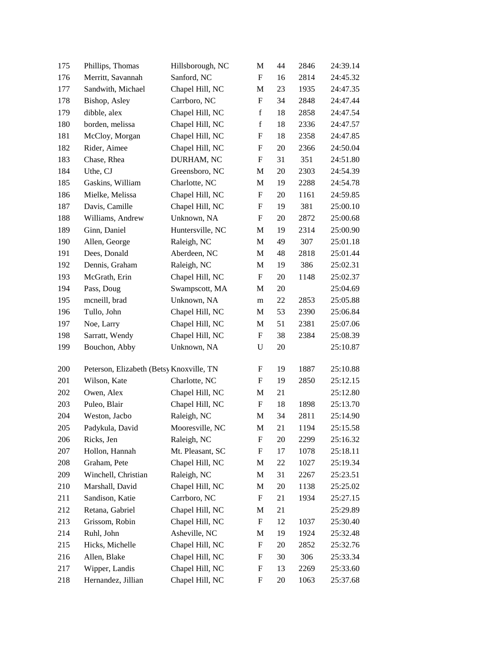| 175     | Phillips, Thomas                         | Hillsborough, NC | M                         | 44 | 2846 | 24:39.14 |
|---------|------------------------------------------|------------------|---------------------------|----|------|----------|
| 176     | Merritt, Savannah                        | Sanford, NC      | $\boldsymbol{\mathrm{F}}$ | 16 | 2814 | 24:45.32 |
| 177     | Sandwith, Michael                        | Chapel Hill, NC  | M                         | 23 | 1935 | 24:47.35 |
| 178     | Bishop, Asley                            | Carrboro, NC     | $\boldsymbol{\mathrm{F}}$ | 34 | 2848 | 24:47.44 |
| 179     | dibble, alex                             | Chapel Hill, NC  | $\mathbf f$               | 18 | 2858 | 24:47.54 |
| 180     | borden, melissa                          | Chapel Hill, NC  | $\mathbf f$               | 18 | 2336 | 24:47.57 |
| 181     | McCloy, Morgan                           | Chapel Hill, NC  | F                         | 18 | 2358 | 24:47.85 |
| 182     | Rider, Aimee                             | Chapel Hill, NC  | F                         | 20 | 2366 | 24:50.04 |
| 183     | Chase, Rhea                              | DURHAM, NC       | $\mathbf F$               | 31 | 351  | 24:51.80 |
| 184     | Uthe, CJ                                 | Greensboro, NC   | M                         | 20 | 2303 | 24:54.39 |
| 185     | Gaskins, William                         | Charlotte, NC    | M                         | 19 | 2288 | 24:54.78 |
| 186     | Mielke, Melissa                          | Chapel Hill, NC  | F                         | 20 | 1161 | 24:59.85 |
| 187     | Davis, Camille                           | Chapel Hill, NC  | F                         | 19 | 381  | 25:00.10 |
| 188     | Williams, Andrew                         | Unknown, NA      | $\mathbf F$               | 20 | 2872 | 25:00.68 |
| 189     | Ginn, Daniel                             | Huntersville, NC | M                         | 19 | 2314 | 25:00.90 |
| 190     | Allen, George                            | Raleigh, NC      | M                         | 49 | 307  | 25:01.18 |
| 191     | Dees, Donald                             | Aberdeen, NC     | M                         | 48 | 2818 | 25:01.44 |
| 192     | Dennis, Graham                           | Raleigh, NC      | M                         | 19 | 386  | 25:02.31 |
| 193     | McGrath, Erin                            | Chapel Hill, NC  | $\boldsymbol{F}$          | 20 | 1148 | 25:02.37 |
| 194     | Pass, Doug                               | Swampscott, MA   | M                         | 20 |      | 25:04.69 |
| 195     | mcneill, brad                            | Unknown, NA      | m                         | 22 | 2853 | 25:05.88 |
| 196     | Tullo, John                              | Chapel Hill, NC  | M                         | 53 | 2390 | 25:06.84 |
| 197     | Noe, Larry                               | Chapel Hill, NC  | M                         | 51 | 2381 | 25:07.06 |
| 198     | Sarratt, Wendy                           | Chapel Hill, NC  | $\boldsymbol{F}$          | 38 | 2384 | 25:08.39 |
| 199     | Bouchon, Abby                            | Unknown, NA      | $\mathbf U$               | 20 |      | 25:10.87 |
| 200     | Peterson, Elizabeth (Betsy Knoxville, TN |                  | F                         | 19 | 1887 | 25:10.88 |
| 201     | Wilson, Kate                             | Charlotte, NC    | F                         | 19 | 2850 | 25:12.15 |
| 202     | Owen, Alex                               | Chapel Hill, NC  | M                         | 21 |      | 25:12.80 |
| 203     | Puleo, Blair                             | Chapel Hill, NC  | F                         | 18 | 1898 | 25:13.70 |
| 204     | Weston, Jacbo                            | Raleigh, NC      | M                         | 34 | 2811 | 25:14.90 |
| $205\,$ | Padykula, David                          | Mooresville, NC  | M                         | 21 | 1194 | 25:15.58 |
| 206     | Ricks, Jen                               | Raleigh, NC      | F                         | 20 | 2299 | 25:16.32 |
| 207     | Hollon, Hannah                           | Mt. Pleasant, SC | $\mathbf F$               | 17 | 1078 | 25:18.11 |
| 208     | Graham, Pete                             | Chapel Hill, NC  | M                         | 22 | 1027 | 25:19.34 |
| 209     | Winchell, Christian                      | Raleigh, NC      | M                         | 31 | 2267 | 25:23.51 |
| 210     | Marshall, David                          | Chapel Hill, NC  | M                         | 20 | 1138 | 25:25.02 |
| 211     | Sandison, Katie                          | Carrboro, NC     | F                         | 21 | 1934 | 25:27.15 |
| 212     | Retana, Gabriel                          | Chapel Hill, NC  | M                         | 21 |      | 25:29.89 |
| 213     | Grissom, Robin                           | Chapel Hill, NC  | F                         | 12 | 1037 | 25:30.40 |
| 214     | Ruhl, John                               | Asheville, NC    | M                         | 19 | 1924 | 25:32.48 |
| 215     | Hicks, Michelle                          | Chapel Hill, NC  | F                         | 20 | 2852 | 25:32.76 |
| 216     | Allen, Blake                             | Chapel Hill, NC  | F                         | 30 | 306  | 25:33.34 |
| 217     | Wipper, Landis                           | Chapel Hill, NC  | F                         | 13 | 2269 | 25:33.60 |
| 218     | Hernandez, Jillian                       | Chapel Hill, NC  | F                         | 20 | 1063 | 25:37.68 |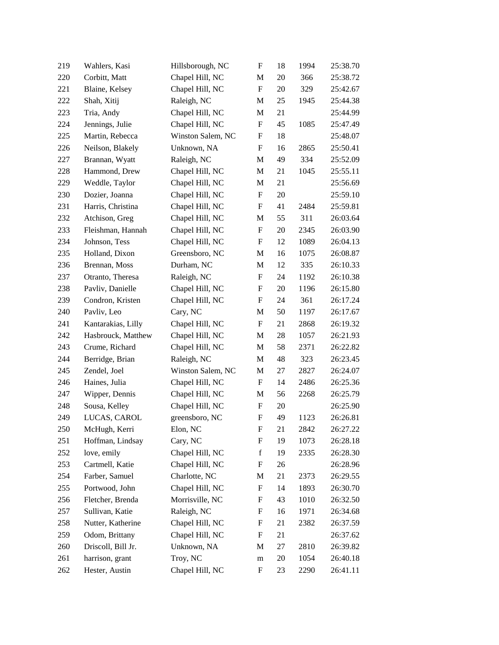| 219 | Wahlers, Kasi      | Hillsborough, NC  | $\boldsymbol{\mathrm{F}}$ | 18 | 1994 | 25:38.70 |
|-----|--------------------|-------------------|---------------------------|----|------|----------|
| 220 | Corbitt, Matt      | Chapel Hill, NC   | M                         | 20 | 366  | 25:38.72 |
| 221 | Blaine, Kelsey     | Chapel Hill, NC   | $\boldsymbol{\mathrm{F}}$ | 20 | 329  | 25:42.67 |
| 222 | Shah, Xitij        | Raleigh, NC       | M                         | 25 | 1945 | 25:44.38 |
| 223 | Tria, Andy         | Chapel Hill, NC   | M                         | 21 |      | 25:44.99 |
| 224 | Jennings, Julie    | Chapel Hill, NC   | $\boldsymbol{\mathrm{F}}$ | 45 | 1085 | 25:47.49 |
| 225 | Martin, Rebecca    | Winston Salem, NC | F                         | 18 |      | 25:48.07 |
| 226 | Neilson, Blakely   | Unknown, NA       | $\boldsymbol{\mathrm{F}}$ | 16 | 2865 | 25:50.41 |
| 227 | Brannan, Wyatt     | Raleigh, NC       | M                         | 49 | 334  | 25:52.09 |
| 228 | Hammond, Drew      | Chapel Hill, NC   | M                         | 21 | 1045 | 25:55.11 |
| 229 | Weddle, Taylor     | Chapel Hill, NC   | M                         | 21 |      | 25:56.69 |
| 230 | Dozier, Joanna     | Chapel Hill, NC   | F                         | 20 |      | 25:59.10 |
| 231 | Harris, Christina  | Chapel Hill, NC   | F                         | 41 | 2484 | 25:59.81 |
| 232 | Atchison, Greg     | Chapel Hill, NC   | M                         | 55 | 311  | 26:03.64 |
| 233 | Fleishman, Hannah  | Chapel Hill, NC   | $\mathbf F$               | 20 | 2345 | 26:03.90 |
| 234 | Johnson, Tess      | Chapel Hill, NC   | $\boldsymbol{F}$          | 12 | 1089 | 26:04.13 |
| 235 | Holland, Dixon     | Greensboro, NC    | M                         | 16 | 1075 | 26:08.87 |
| 236 | Brennan, Moss      | Durham, NC        | M                         | 12 | 335  | 26:10.33 |
| 237 | Otranto, Theresa   | Raleigh, NC       | $\mathbf F$               | 24 | 1192 | 26:10.38 |
| 238 | Pavliv, Danielle   | Chapel Hill, NC   | $\mathbf F$               | 20 | 1196 | 26:15.80 |
| 239 | Condron, Kristen   | Chapel Hill, NC   | $\boldsymbol{F}$          | 24 | 361  | 26:17.24 |
| 240 | Pavliv, Leo        | Cary, NC          | M                         | 50 | 1197 | 26:17.67 |
| 241 | Kantarakias, Lilly | Chapel Hill, NC   | $\boldsymbol{\mathrm{F}}$ | 21 | 2868 | 26:19.32 |
| 242 | Hasbrouck, Matthew | Chapel Hill, NC   | M                         | 28 | 1057 | 26:21.93 |
| 243 | Crume, Richard     | Chapel Hill, NC   | M                         | 58 | 2371 | 26:22.82 |
| 244 | Berridge, Brian    | Raleigh, NC       | M                         | 48 | 323  | 26:23.45 |
| 245 | Zendel, Joel       | Winston Salem, NC | M                         | 27 | 2827 | 26:24.07 |
| 246 | Haines, Julia      | Chapel Hill, NC   | F                         | 14 | 2486 | 26:25.36 |
| 247 | Wipper, Dennis     | Chapel Hill, NC   | M                         | 56 | 2268 | 26:25.79 |
| 248 | Sousa, Kelley      | Chapel Hill, NC   | $\mathbf F$               | 20 |      | 26:25.90 |
| 249 | LUCAS, CAROL       | greensboro, NC    | F                         | 49 | 1123 | 26:26.81 |
| 250 | McHugh, Kerri      | Elon, NC          | F                         | 21 | 2842 | 26:27.22 |
| 251 | Hoffman, Lindsay   | Cary, NC          | F                         | 19 | 1073 | 26:28.18 |
| 252 | love, emily        | Chapel Hill, NC   | $\mathbf f$               | 19 | 2335 | 26:28.30 |
| 253 | Cartmell, Katie    | Chapel Hill, NC   | $\boldsymbol{F}$          | 26 |      | 26:28.96 |
| 254 | Farber, Samuel     | Charlotte, NC     | M                         | 21 | 2373 | 26:29.55 |
| 255 | Portwood, John     | Chapel Hill, NC   | F                         | 14 | 1893 | 26:30.70 |
| 256 | Fletcher, Brenda   | Morrisville, NC   | F                         | 43 | 1010 | 26:32.50 |
| 257 | Sullivan, Katie    | Raleigh, NC       | F                         | 16 | 1971 | 26:34.68 |
| 258 | Nutter, Katherine  | Chapel Hill, NC   | F                         | 21 | 2382 | 26:37.59 |
| 259 | Odom, Brittany     | Chapel Hill, NC   | $\boldsymbol{F}$          | 21 |      | 26:37.62 |
| 260 | Driscoll, Bill Jr. | Unknown, NA       | M                         | 27 | 2810 | 26:39.82 |
| 261 | harrison, grant    | Troy, NC          | m                         | 20 | 1054 | 26:40.18 |
| 262 | Hester, Austin     | Chapel Hill, NC   | F                         | 23 | 2290 | 26:41.11 |
|     |                    |                   |                           |    |      |          |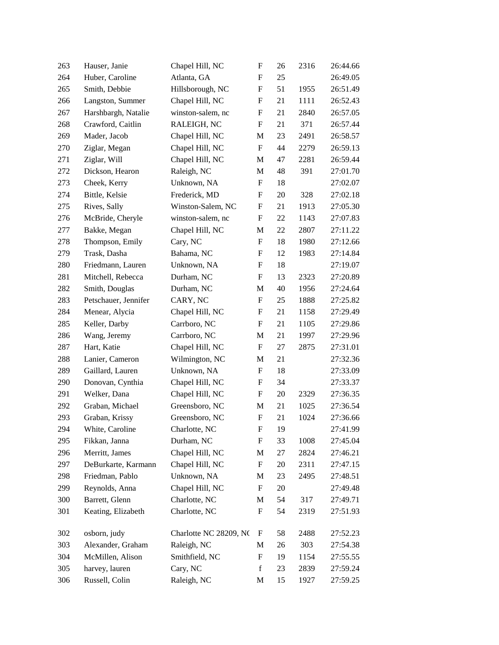| 263 | Hauser, Janie        | Chapel Hill, NC        | F                         | 26 | 2316 | 26:44.66 |
|-----|----------------------|------------------------|---------------------------|----|------|----------|
| 264 | Huber, Caroline      | Atlanta, GA            | F                         | 25 |      | 26:49.05 |
| 265 | Smith, Debbie        | Hillsborough, NC       | F                         | 51 | 1955 | 26:51.49 |
| 266 | Langston, Summer     | Chapel Hill, NC        | F                         | 21 | 1111 | 26:52.43 |
| 267 | Harshbargh, Natalie  | winston-salem, nc      | F                         | 21 | 2840 | 26:57.05 |
| 268 | Crawford, Caitlin    | RALEIGH, NC            | $\boldsymbol{\mathrm{F}}$ | 21 | 371  | 26:57.44 |
| 269 | Mader, Jacob         | Chapel Hill, NC        | M                         | 23 | 2491 | 26:58.57 |
| 270 | Ziglar, Megan        | Chapel Hill, NC        | F                         | 44 | 2279 | 26:59.13 |
| 271 | Ziglar, Will         | Chapel Hill, NC        | M                         | 47 | 2281 | 26:59.44 |
| 272 | Dickson, Hearon      | Raleigh, NC            | M                         | 48 | 391  | 27:01.70 |
| 273 | Cheek, Kerry         | Unknown, NA            | $\boldsymbol{\mathrm{F}}$ | 18 |      | 27:02.07 |
| 274 | Bittle, Kelsie       | Frederick, MD          | F                         | 20 | 328  | 27:02.18 |
| 275 | Rives, Sally         | Winston-Salem, NC      | F                         | 21 | 1913 | 27:05.30 |
| 276 | McBride, Cheryle     | winston-salem, nc      | F                         | 22 | 1143 | 27:07.83 |
| 277 | Bakke, Megan         | Chapel Hill, NC        | M                         | 22 | 2807 | 27:11.22 |
| 278 | Thompson, Emily      | Cary, NC               | $\boldsymbol{\mathrm{F}}$ | 18 | 1980 | 27:12.66 |
| 279 | Trask, Dasha         | Bahama, NC             | F                         | 12 | 1983 | 27:14.84 |
| 280 | Friedmann, Lauren    | Unknown, NA            | F                         | 18 |      | 27:19.07 |
| 281 | Mitchell, Rebecca    | Durham, NC             | F                         | 13 | 2323 | 27:20.89 |
| 282 | Smith, Douglas       | Durham, NC             | M                         | 40 | 1956 | 27:24.64 |
| 283 | Petschauer, Jennifer | CARY, NC               | F                         | 25 | 1888 | 27:25.82 |
| 284 | Menear, Alycia       | Chapel Hill, NC        | F                         | 21 | 1158 | 27:29.49 |
| 285 | Keller, Darby        | Carrboro, NC           | F                         | 21 | 1105 | 27:29.86 |
| 286 | Wang, Jeremy         | Carrboro, NC           | M                         | 21 | 1997 | 27:29.96 |
| 287 | Hart, Katie          | Chapel Hill, NC        | F                         | 27 | 2875 | 27:31.01 |
| 288 | Lanier, Cameron      | Wilmington, NC         | M                         | 21 |      | 27:32.36 |
| 289 | Gaillard, Lauren     | Unknown, NA            | F                         | 18 |      | 27:33.09 |
| 290 | Donovan, Cynthia     | Chapel Hill, NC        | F                         | 34 |      | 27:33.37 |
| 291 | Welker, Dana         | Chapel Hill, NC        | F                         | 20 | 2329 | 27:36.35 |
| 292 | Graban, Michael      | Greensboro, NC         | M                         | 21 | 1025 | 27:36.54 |
| 293 | Graban, Krissy       | Greensboro, NC         | $\boldsymbol{\mathrm{F}}$ | 21 | 1024 | 27:36.66 |
| 294 | White, Caroline      | Charlotte, NC          | F                         | 19 |      | 27:41.99 |
| 295 | Fikkan, Janna        | Durham, NC             | F                         | 33 | 1008 | 27:45.04 |
| 296 | Merritt, James       | Chapel Hill, NC        | M                         | 27 | 2824 | 27:46.21 |
| 297 | DeBurkarte, Karmann  | Chapel Hill, NC        | F                         | 20 | 2311 | 27:47.15 |
| 298 | Friedman, Pablo      | Unknown, NA            | M                         | 23 | 2495 | 27:48.51 |
| 299 | Reynolds, Anna       | Chapel Hill, NC        | F                         | 20 |      | 27:49.48 |
| 300 | Barrett, Glenn       | Charlotte, NC          | M                         | 54 | 317  | 27:49.71 |
| 301 | Keating, Elizabeth   | Charlotte, NC          | F                         | 54 | 2319 | 27:51.93 |
| 302 | osborn, judy         | Charlotte NC 28209, NC | F                         | 58 | 2488 | 27:52.23 |
| 303 | Alexander, Graham    | Raleigh, NC            | M                         | 26 | 303  | 27:54.38 |
| 304 | McMillen, Alison     | Smithfield, NC         | F                         | 19 | 1154 | 27:55.55 |
| 305 | harvey, lauren       | Cary, NC               | f                         | 23 | 2839 | 27:59.24 |
| 306 | Russell, Colin       | Raleigh, NC            | M                         | 15 | 1927 | 27:59.25 |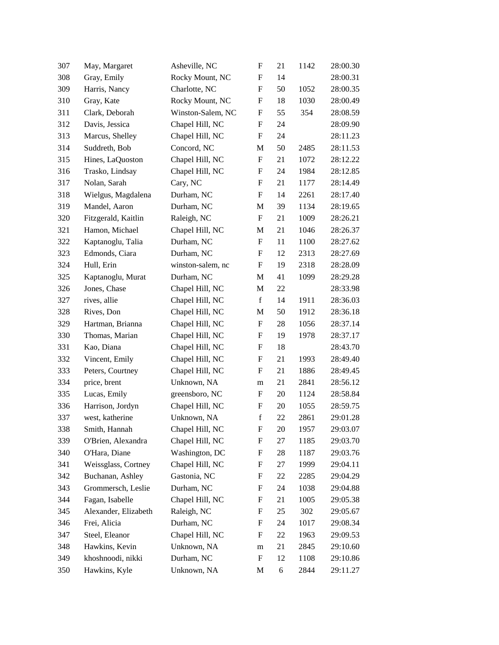| 307 | May, Margaret        | Asheville, NC     | F                         | 21 | 1142 | 28:00.30 |
|-----|----------------------|-------------------|---------------------------|----|------|----------|
| 308 | Gray, Emily          | Rocky Mount, NC   | F                         | 14 |      | 28:00.31 |
| 309 | Harris, Nancy        | Charlotte, NC     | F                         | 50 | 1052 | 28:00.35 |
| 310 | Gray, Kate           | Rocky Mount, NC   | F                         | 18 | 1030 | 28:00.49 |
| 311 | Clark, Deborah       | Winston-Salem, NC | F                         | 55 | 354  | 28:08.59 |
| 312 | Davis, Jessica       | Chapel Hill, NC   | $\boldsymbol{\mathrm{F}}$ | 24 |      | 28:09.90 |
| 313 | Marcus, Shelley      | Chapel Hill, NC   | F                         | 24 |      | 28:11.23 |
| 314 | Suddreth, Bob        | Concord, NC       | M                         | 50 | 2485 | 28:11.53 |
| 315 | Hines, LaQuoston     | Chapel Hill, NC   | F                         | 21 | 1072 | 28:12.22 |
| 316 | Trasko, Lindsay      | Chapel Hill, NC   | F                         | 24 | 1984 | 28:12.85 |
| 317 | Nolan, Sarah         | Cary, NC          | $\boldsymbol{\mathrm{F}}$ | 21 | 1177 | 28:14.49 |
| 318 | Wielgus, Magdalena   | Durham, NC        | F                         | 14 | 2261 | 28:17.40 |
| 319 | Mandel, Aaron        | Durham, NC        | M                         | 39 | 1134 | 28:19.65 |
| 320 | Fitzgerald, Kaitlin  | Raleigh, NC       | F                         | 21 | 1009 | 28:26.21 |
| 321 | Hamon, Michael       | Chapel Hill, NC   | M                         | 21 | 1046 | 28:26.37 |
| 322 | Kaptanoglu, Talia    | Durham, NC        | F                         | 11 | 1100 | 28:27.62 |
| 323 | Edmonds, Ciara       | Durham, NC        | F                         | 12 | 2313 | 28:27.69 |
| 324 | Hull, Erin           | winston-salem, nc | F                         | 19 | 2318 | 28:28.09 |
| 325 | Kaptanoglu, Murat    | Durham, NC        | M                         | 41 | 1099 | 28:29.28 |
| 326 | Jones, Chase         | Chapel Hill, NC   | M                         | 22 |      | 28:33.98 |
| 327 | rives, allie         | Chapel Hill, NC   | $\mathbf f$               | 14 | 1911 | 28:36.03 |
| 328 | Rives, Don           | Chapel Hill, NC   | M                         | 50 | 1912 | 28:36.18 |
| 329 | Hartman, Brianna     | Chapel Hill, NC   | F                         | 28 | 1056 | 28:37.14 |
| 330 | Thomas, Marian       | Chapel Hill, NC   | F                         | 19 | 1978 | 28:37.17 |
| 331 | Kao, Diana           | Chapel Hill, NC   | F                         | 18 |      | 28:43.70 |
| 332 | Vincent, Emily       | Chapel Hill, NC   | F                         | 21 | 1993 | 28:49.40 |
| 333 | Peters, Courtney     | Chapel Hill, NC   | F                         | 21 | 1886 | 28:49.45 |
| 334 | price, brent         | Unknown, NA       | m                         | 21 | 2841 | 28:56.12 |
| 335 | Lucas, Emily         | greensboro, NC    | F                         | 20 | 1124 | 28:58.84 |
| 336 | Harrison, Jordyn     | Chapel Hill, NC   | $\boldsymbol{F}$          | 20 | 1055 | 28:59.75 |
| 337 | west, katherine      | Unknown, NA       | $\mathbf f$               | 22 | 2861 | 29:01.28 |
| 338 | Smith, Hannah        | Chapel Hill, NC   | F                         | 20 | 1957 | 29:03.07 |
| 339 | O'Brien, Alexandra   | Chapel Hill, NC   | F                         | 27 | 1185 | 29:03.70 |
| 340 | O'Hara, Diane        | Washington, DC    | F                         | 28 | 1187 | 29:03.76 |
| 341 | Weissglass, Cortney  | Chapel Hill, NC   | F                         | 27 | 1999 | 29:04.11 |
| 342 | Buchanan, Ashley     | Gastonia, NC      | F                         | 22 | 2285 | 29:04.29 |
| 343 | Grommersch, Leslie   | Durham, NC        | F                         | 24 | 1038 | 29:04.88 |
| 344 | Fagan, Isabelle      | Chapel Hill, NC   | F                         | 21 | 1005 | 29:05.38 |
| 345 | Alexander, Elizabeth | Raleigh, NC       | F                         | 25 | 302  | 29:05.67 |
| 346 | Frei, Alicia         | Durham, NC        | F                         | 24 | 1017 | 29:08.34 |
| 347 | Steel, Eleanor       | Chapel Hill, NC   | F                         | 22 | 1963 | 29:09.53 |
| 348 | Hawkins, Kevin       | Unknown, NA       | m                         | 21 | 2845 | 29:10.60 |
| 349 | khoshnoodi, nikki    | Durham, NC        | F                         | 12 | 1108 | 29:10.86 |
| 350 | Hawkins, Kyle        | Unknown, NA       | M                         | 6  | 2844 | 29:11.27 |
|     |                      |                   |                           |    |      |          |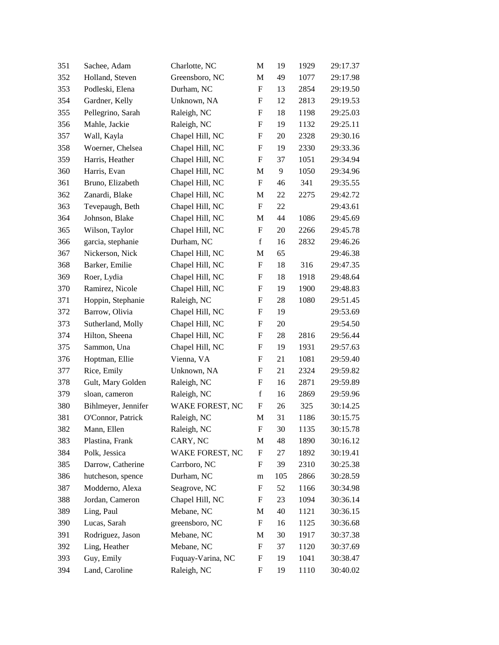| 351 | Sachee, Adam        | Charlotte, NC     | M                         | 19  | 1929 | 29:17.37 |
|-----|---------------------|-------------------|---------------------------|-----|------|----------|
| 352 | Holland, Steven     | Greensboro, NC    | M                         | 49  | 1077 | 29:17.98 |
| 353 | Podleski, Elena     | Durham, NC        | F                         | 13  | 2854 | 29:19.50 |
| 354 | Gardner, Kelly      | Unknown, NA       | ${\bf F}$                 | 12  | 2813 | 29:19.53 |
| 355 | Pellegrino, Sarah   | Raleigh, NC       | F                         | 18  | 1198 | 29:25.03 |
| 356 | Mahle, Jackie       | Raleigh, NC       | ${\bf F}$                 | 19  | 1132 | 29:25.11 |
| 357 | Wall, Kayla         | Chapel Hill, NC   | F                         | 20  | 2328 | 29:30.16 |
| 358 | Woerner, Chelsea    | Chapel Hill, NC   | F                         | 19  | 2330 | 29:33.36 |
| 359 | Harris, Heather     | Chapel Hill, NC   | ${\bf F}$                 | 37  | 1051 | 29:34.94 |
| 360 | Harris, Evan        | Chapel Hill, NC   | M                         | 9   | 1050 | 29:34.96 |
| 361 | Bruno, Elizabeth    | Chapel Hill, NC   | $\boldsymbol{\mathrm{F}}$ | 46  | 341  | 29:35.55 |
| 362 | Zanardi, Blake      | Chapel Hill, NC   | M                         | 22  | 2275 | 29:42.72 |
| 363 | Tevepaugh, Beth     | Chapel Hill, NC   | F                         | 22  |      | 29:43.61 |
| 364 | Johnson, Blake      | Chapel Hill, NC   | M                         | 44  | 1086 | 29:45.69 |
| 365 | Wilson, Taylor      | Chapel Hill, NC   | F                         | 20  | 2266 | 29:45.78 |
| 366 | garcia, stephanie   | Durham, NC        | $\mathbf f$               | 16  | 2832 | 29:46.26 |
| 367 | Nickerson, Nick     | Chapel Hill, NC   | M                         | 65  |      | 29:46.38 |
| 368 | Barker, Emilie      | Chapel Hill, NC   | F                         | 18  | 316  | 29:47.35 |
| 369 | Roer, Lydia         | Chapel Hill, NC   | F                         | 18  | 1918 | 29:48.64 |
| 370 | Ramirez, Nicole     | Chapel Hill, NC   | F                         | 19  | 1900 | 29:48.83 |
| 371 | Hoppin, Stephanie   | Raleigh, NC       | F                         | 28  | 1080 | 29:51.45 |
| 372 | Barrow, Olivia      | Chapel Hill, NC   | F                         | 19  |      | 29:53.69 |
| 373 | Sutherland, Molly   | Chapel Hill, NC   | F                         | 20  |      | 29:54.50 |
| 374 | Hilton, Sheena      | Chapel Hill, NC   | F                         | 28  | 2816 | 29:56.44 |
| 375 | Sammon, Una         | Chapel Hill, NC   | F                         | 19  | 1931 | 29:57.63 |
| 376 | Hoptman, Ellie      | Vienna, VA        | $\boldsymbol{\mathrm{F}}$ | 21  | 1081 | 29:59.40 |
| 377 | Rice, Emily         | Unknown, NA       | F                         | 21  | 2324 | 29:59.82 |
| 378 | Gult, Mary Golden   | Raleigh, NC       | F                         | 16  | 2871 | 29:59.89 |
| 379 | sloan, cameron      | Raleigh, NC       | $\mathbf f$               | 16  | 2869 | 29:59.96 |
| 380 | Bihlmeyer, Jennifer | WAKE FOREST, NC   | F                         | 26  | 325  | 30:14.25 |
| 381 | O'Connor, Patrick   | Raleigh, NC       | M                         | 31  | 1186 | 30:15.75 |
| 382 | Mann, Ellen         | Raleigh, NC       | $\mathbf F$               | 30  | 1135 | 30:15.78 |
| 383 | Plastina, Frank     | CARY, NC          | M                         | 48  | 1890 | 30:16.12 |
| 384 | Polk, Jessica       | WAKE FOREST, NC   | F                         | 27  | 1892 | 30:19.41 |
| 385 | Darrow, Catherine   | Carrboro, NC      | F                         | 39  | 2310 | 30:25.38 |
| 386 | hutcheson, spence   | Durham, NC        | m                         | 105 | 2866 | 30:28.59 |
| 387 | Modderno, Alexa     | Seagrove, NC      | F                         | 52  | 1166 | 30:34.98 |
| 388 | Jordan, Cameron     | Chapel Hill, NC   | F                         | 23  | 1094 | 30:36.14 |
| 389 | Ling, Paul          | Mebane, NC        | M                         | 40  | 1121 | 30:36.15 |
| 390 | Lucas, Sarah        | greensboro, NC    | F                         | 16  | 1125 | 30:36.68 |
| 391 | Rodriguez, Jason    | Mebane, NC        | M                         | 30  | 1917 | 30:37.38 |
| 392 | Ling, Heather       | Mebane, NC        | F                         | 37  | 1120 | 30:37.69 |
| 393 | Guy, Emily          | Fuquay-Varina, NC | F                         | 19  | 1041 | 30:38.47 |
| 394 | Land, Caroline      | Raleigh, NC       | $\boldsymbol{\mathrm{F}}$ | 19  | 1110 | 30:40.02 |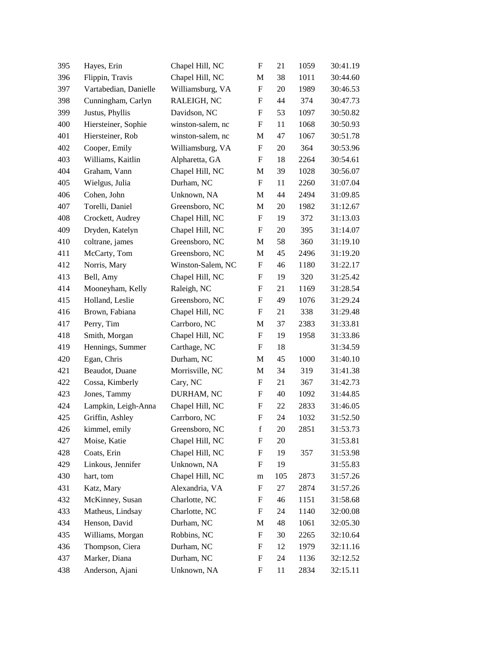| 395 | Hayes, Erin           | Chapel Hill, NC   | $\boldsymbol{\mathrm{F}}$ | 21  | 1059 | 30:41.19 |
|-----|-----------------------|-------------------|---------------------------|-----|------|----------|
| 396 | Flippin, Travis       | Chapel Hill, NC   | M                         | 38  | 1011 | 30:44.60 |
| 397 | Vartabedian, Danielle | Williamsburg, VA  | $\boldsymbol{\mathrm{F}}$ | 20  | 1989 | 30:46.53 |
| 398 | Cunningham, Carlyn    | RALEIGH, NC       | F                         | 44  | 374  | 30:47.73 |
| 399 | Justus, Phyllis       | Davidson, NC      | F                         | 53  | 1097 | 30:50.82 |
| 400 | Hiersteiner, Sophie   | winston-salem, nc | $\boldsymbol{\mathrm{F}}$ | 11  | 1068 | 30:50.93 |
| 401 | Hiersteiner, Rob      | winston-salem, nc | M                         | 47  | 1067 | 30:51.78 |
| 402 | Cooper, Emily         | Williamsburg, VA  | $\boldsymbol{\mathrm{F}}$ | 20  | 364  | 30:53.96 |
| 403 | Williams, Kaitlin     | Alpharetta, GA    | F                         | 18  | 2264 | 30:54.61 |
| 404 | Graham, Vann          | Chapel Hill, NC   | M                         | 39  | 1028 | 30:56.07 |
| 405 | Wielgus, Julia        | Durham, NC        | ${\bf F}$                 | 11  | 2260 | 31:07.04 |
| 406 | Cohen, John           | Unknown, NA       | M                         | 44  | 2494 | 31:09.85 |
| 407 | Torelli, Daniel       | Greensboro, NC    | M                         | 20  | 1982 | 31:12.67 |
| 408 | Crockett, Audrey      | Chapel Hill, NC   | F                         | 19  | 372  | 31:13.03 |
| 409 | Dryden, Katelyn       | Chapel Hill, NC   | F                         | 20  | 395  | 31:14.07 |
| 410 | coltrane, james       | Greensboro, NC    | M                         | 58  | 360  | 31:19.10 |
| 411 | McCarty, Tom          | Greensboro, NC    | M                         | 45  | 2496 | 31:19.20 |
| 412 | Norris, Mary          | Winston-Salem, NC | $\boldsymbol{\mathrm{F}}$ | 46  | 1180 | 31:22.17 |
| 413 | Bell, Amy             | Chapel Hill, NC   | F                         | 19  | 320  | 31:25.42 |
| 414 | Mooneyham, Kelly      | Raleigh, NC       | F                         | 21  | 1169 | 31:28.54 |
| 415 | Holland, Leslie       | Greensboro, NC    | $\boldsymbol{\mathrm{F}}$ | 49  | 1076 | 31:29.24 |
| 416 | Brown, Fabiana        | Chapel Hill, NC   | F                         | 21  | 338  | 31:29.48 |
| 417 | Perry, Tim            | Carrboro, NC      | M                         | 37  | 2383 | 31:33.81 |
| 418 | Smith, Morgan         | Chapel Hill, NC   | F                         | 19  | 1958 | 31:33.86 |
| 419 | Hennings, Summer      | Carthage, NC      | F                         | 18  |      | 31:34.59 |
| 420 | Egan, Chris           | Durham, NC        | M                         | 45  | 1000 | 31:40.10 |
| 421 | Beaudot, Duane        | Morrisville, NC   | M                         | 34  | 319  | 31:41.38 |
| 422 | Cossa, Kimberly       | Cary, NC          | $\boldsymbol{\mathrm{F}}$ | 21  | 367  | 31:42.73 |
| 423 | Jones, Tammy          | DURHAM, NC        | F                         | 40  | 1092 | 31:44.85 |
| 424 | Lampkin, Leigh-Anna   | Chapel Hill, NC   | F                         | 22  | 2833 | 31:46.05 |
| 425 | Griffin, Ashley       | Carrboro, NC      | $\boldsymbol{\mathrm{F}}$ | 24  | 1032 | 31:52.50 |
| 426 | kimmel, emily         | Greensboro, NC    | f                         | 20  | 2851 | 31:53.73 |
| 427 | Moise, Katie          | Chapel Hill, NC   | F                         | 20  |      | 31:53.81 |
| 428 | Coats, Erin           | Chapel Hill, NC   | F                         | 19  | 357  | 31:53.98 |
| 429 | Linkous, Jennifer     | Unknown, NA       | F                         | 19  |      | 31:55.83 |
| 430 | hart, tom             | Chapel Hill, NC   | m                         | 105 | 2873 | 31:57.26 |
| 431 | Katz, Mary            | Alexandria, VA    | F                         | 27  | 2874 | 31:57.26 |
| 432 | McKinney, Susan       | Charlotte, NC     | F                         | 46  | 1151 | 31:58.68 |
| 433 | Matheus, Lindsay      | Charlotte, NC     | F                         | 24  | 1140 | 32:00.08 |
| 434 | Henson, David         | Durham, NC        | M                         | 48  | 1061 | 32:05.30 |
| 435 | Williams, Morgan      | Robbins, NC       | F                         | 30  | 2265 | 32:10.64 |
| 436 | Thompson, Ciera       | Durham, NC        | F                         | 12  | 1979 | 32:11.16 |
| 437 | Marker, Diana         | Durham, NC        | F                         | 24  | 1136 | 32:12.52 |
| 438 | Anderson, Ajani       | Unknown, NA       | F                         | 11  | 2834 | 32:15.11 |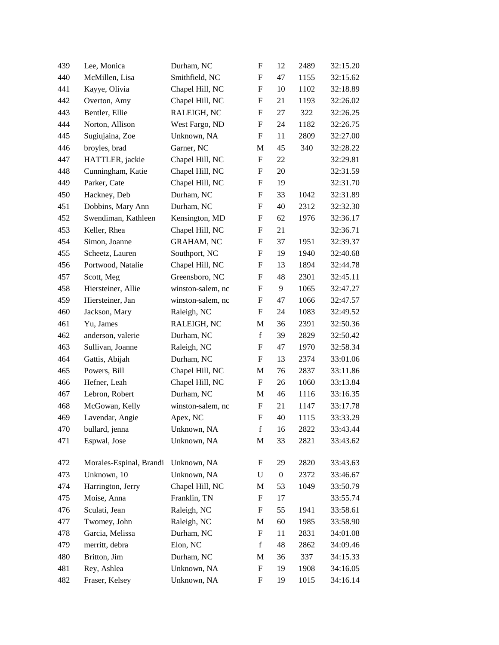| 439 | Lee, Monica             | Durham, NC        | F                         | 12               | 2489 | 32:15.20 |
|-----|-------------------------|-------------------|---------------------------|------------------|------|----------|
| 440 | McMillen, Lisa          | Smithfield, NC    | F                         | 47               | 1155 | 32:15.62 |
| 441 | Kayye, Olivia           | Chapel Hill, NC   | F                         | 10               | 1102 | 32:18.89 |
| 442 | Overton, Amy            | Chapel Hill, NC   | F                         | 21               | 1193 | 32:26.02 |
| 443 | Bentler, Ellie          | RALEIGH, NC       | F                         | 27               | 322  | 32:26.25 |
| 444 | Norton, Allison         | West Fargo, ND    | $\boldsymbol{\mathrm{F}}$ | 24               | 1182 | 32:26.75 |
| 445 | Sugiujaina, Zoe         | Unknown, NA       | F                         | 11               | 2809 | 32:27.00 |
| 446 | broyles, brad           | Garner, NC        | M                         | 45               | 340  | 32:28.22 |
| 447 | HATTLER, jackie         | Chapel Hill, NC   | F                         | 22               |      | 32:29.81 |
| 448 | Cunningham, Katie       | Chapel Hill, NC   | F                         | 20               |      | 32:31.59 |
| 449 | Parker, Cate            | Chapel Hill, NC   | $\boldsymbol{\mathrm{F}}$ | 19               |      | 32:31.70 |
| 450 | Hackney, Deb            | Durham, NC        | F                         | 33               | 1042 | 32:31.89 |
| 451 | Dobbins, Mary Ann       | Durham, NC        | F                         | 40               | 2312 | 32:32.30 |
| 452 | Swendiman, Kathleen     | Kensington, MD    | F                         | 62               | 1976 | 32:36.17 |
| 453 | Keller, Rhea            | Chapel Hill, NC   | F                         | 21               |      | 32:36.71 |
| 454 | Simon, Joanne           | <b>GRAHAM, NC</b> | F                         | 37               | 1951 | 32:39.37 |
| 455 | Scheetz, Lauren         | Southport, NC     | F                         | 19               | 1940 | 32:40.68 |
| 456 | Portwood, Natalie       | Chapel Hill, NC   | F                         | 13               | 1894 | 32:44.78 |
| 457 | Scott, Meg              | Greensboro, NC    | F                         | 48               | 2301 | 32:45.11 |
| 458 | Hiersteiner, Allie      | winston-salem, nc | F                         | 9                | 1065 | 32:47.27 |
| 459 | Hiersteiner, Jan        | winston-salem, nc | F                         | 47               | 1066 | 32:47.57 |
| 460 | Jackson, Mary           | Raleigh, NC       | F                         | 24               | 1083 | 32:49.52 |
| 461 | Yu, James               | RALEIGH, NC       | M                         | 36               | 2391 | 32:50.36 |
| 462 | anderson, valerie       | Durham, NC        | $\mathbf f$               | 39               | 2829 | 32:50.42 |
| 463 | Sullivan, Joanne        | Raleigh, NC       | $\boldsymbol{\mathrm{F}}$ | 47               | 1970 | 32:58.34 |
| 464 | Gattis, Abijah          | Durham, NC        | F                         | 13               | 2374 | 33:01.06 |
| 465 | Powers, Bill            | Chapel Hill, NC   | M                         | 76               | 2837 | 33:11.86 |
| 466 | Hefner, Leah            | Chapel Hill, NC   | F                         | 26               | 1060 | 33:13.84 |
| 467 | Lebron, Robert          | Durham, NC        | M                         | 46               | 1116 | 33:16.35 |
| 468 | McGowan, Kelly          | winston-salem, nc | F                         | 21               | 1147 | 33:17.78 |
| 469 | Lavendar, Angie         | Apex, NC          | $\boldsymbol{\mathrm{F}}$ | 40               | 1115 | 33:33.29 |
| 470 | bullard, jenna          | Unknown, NA       | $\mathbf f$               | 16               | 2822 | 33:43.44 |
| 471 | Espwal, Jose            | Unknown, NA       | M                         | 33               | 2821 | 33:43.62 |
| 472 | Morales-Espinal, Brandi | Unknown, NA       | F                         | 29               | 2820 | 33:43.63 |
| 473 | Unknown, 10             | Unknown, NA       | U                         | $\boldsymbol{0}$ | 2372 | 33:46.67 |
| 474 | Harrington, Jerry       | Chapel Hill, NC   | M                         | 53               | 1049 | 33:50.79 |
| 475 | Moise, Anna             | Franklin, TN      | F                         | 17               |      | 33:55.74 |
| 476 | Sculati, Jean           | Raleigh, NC       | ${\rm F}$                 | 55               | 1941 | 33:58.61 |
| 477 | Twomey, John            | Raleigh, NC       | M                         | 60               | 1985 | 33:58.90 |
| 478 | Garcia, Melissa         | Durham, NC        | F                         | 11               | 2831 | 34:01.08 |
| 479 | merritt, debra          | Elon, NC          | $\mathbf f$               | 48               | 2862 | 34:09.46 |
| 480 | Britton, Jim            | Durham, NC        | $\mathbf M$               | 36               | 337  | 34:15.33 |
| 481 | Rey, Ashlea             | Unknown, NA       | ${\rm F}$                 | 19               | 1908 | 34:16.05 |
| 482 | Fraser, Kelsey          | Unknown, NA       | F                         | 19               | 1015 | 34:16.14 |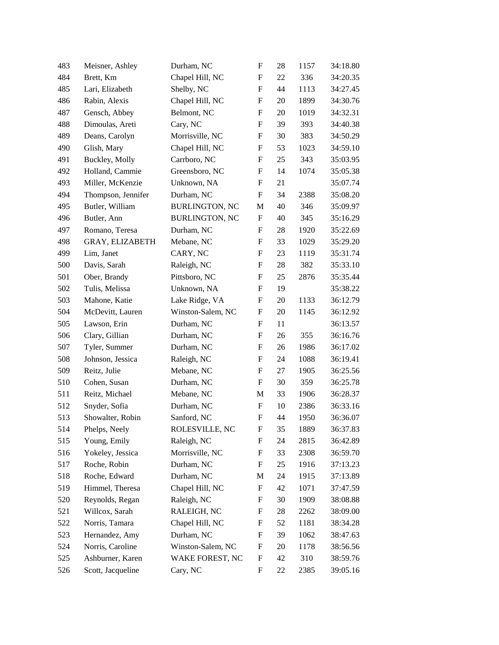| 483 | Meisner, Ashley    | Durham, NC            | F                         | 28 | 1157 | 34:18.80 |
|-----|--------------------|-----------------------|---------------------------|----|------|----------|
| 484 | Brett, Km          | Chapel Hill, NC       | F                         | 22 | 336  | 34:20.35 |
| 485 | Lari, Elizabeth    | Shelby, NC            | F                         | 44 | 1113 | 34:27.45 |
| 486 | Rabin, Alexis      | Chapel Hill, NC       | $\boldsymbol{\mathrm{F}}$ | 20 | 1899 | 34:30.76 |
| 487 | Gensch, Abbey      | Belmont, NC           | F                         | 20 | 1019 | 34:32.31 |
| 488 | Dimoulas, Areti    | Cary, NC              | $\boldsymbol{\mathrm{F}}$ | 39 | 393  | 34:40.38 |
| 489 | Deans, Carolyn     | Morrisville, NC       | F                         | 30 | 383  | 34:50.29 |
| 490 | Glish, Mary        | Chapel Hill, NC       | F                         | 53 | 1023 | 34:59.10 |
| 491 | Buckley, Molly     | Carrboro, NC          | $\boldsymbol{\mathrm{F}}$ | 25 | 343  | 35:03.95 |
| 492 | Holland, Cammie    | Greensboro, NC        | F                         | 14 | 1074 | 35:05.38 |
| 493 | Miller, McKenzie   | Unknown, NA           | $\boldsymbol{\mathrm{F}}$ | 21 |      | 35:07.74 |
| 494 | Thompson, Jennifer | Durham, NC            | F                         | 34 | 2388 | 35:08.20 |
| 495 | Butler, William    | <b>BURLINGTON, NC</b> | M                         | 40 | 346  | 35:09.97 |
| 496 | Butler, Ann        | <b>BURLINGTON, NC</b> | $\boldsymbol{F}$          | 40 | 345  | 35:16.29 |
| 497 | Romano, Teresa     | Durham, NC            | F                         | 28 | 1920 | 35:22.69 |
| 498 | GRAY, ELIZABETH    | Mebane, NC            | $\boldsymbol{\mathrm{F}}$ | 33 | 1029 | 35:29.20 |
| 499 | Lim, Janet         | CARY, NC              | F                         | 23 | 1119 | 35:31.74 |
| 500 | Davis, Sarah       | Raleigh, NC           | F                         | 28 | 382  | 35:33.10 |
| 501 | Ober, Brandy       | Pittsboro, NC         | F                         | 25 | 2876 | 35:35.44 |
| 502 | Tulis, Melissa     | Unknown, NA           | F                         | 19 |      | 35:38.22 |
| 503 | Mahone, Katie      | Lake Ridge, VA        | F                         | 20 | 1133 | 36:12.79 |
| 504 | McDevitt, Lauren   | Winston-Salem, NC     | F                         | 20 | 1145 | 36:12.92 |
| 505 | Lawson, Erin       | Durham, NC            | F                         | 11 |      | 36:13.57 |
| 506 | Clary, Gillian     | Durham, NC            | F                         | 26 | 355  | 36:16.76 |
| 507 | Tyler, Summer      | Durham, NC            | F                         | 26 | 1986 | 36:17.02 |
| 508 | Johnson, Jessica   | Raleigh, NC           | $\boldsymbol{\mathrm{F}}$ | 24 | 1088 | 36:19.41 |
| 509 | Reitz, Julie       | Mebane, NC            | F                         | 27 | 1905 | 36:25.56 |
| 510 | Cohen, Susan       | Durham, NC            | F                         | 30 | 359  | 36:25.78 |
| 511 | Reitz, Michael     | Mebane, NC            | M                         | 33 | 1906 | 36:28.37 |
| 512 | Snyder, Sofia      | Durham, NC            | F                         | 10 | 2386 | 36:33.16 |
| 513 | Showalter, Robin   | Sanford, NC           | ${\rm F}$                 | 44 | 1950 | 36:36.07 |
| 514 | Phelps, Neely      | ROLESVILLE, NC        | $\mathbf F$               | 35 | 1889 | 36:37.83 |
| 515 | Young, Emily       | Raleigh, NC           | F                         | 24 | 2815 | 36:42.89 |
| 516 | Yokeley, Jessica   | Morrisville, NC       | ${\rm F}$                 | 33 | 2308 | 36:59.70 |
| 517 | Roche, Robin       | Durham, NC            | F                         | 25 | 1916 | 37:13.23 |
| 518 | Roche, Edward      | Durham, NC            | M                         | 24 | 1915 | 37:13.89 |
| 519 | Himmel, Theresa    | Chapel Hill, NC       | F                         | 42 | 1071 | 37:47.59 |
| 520 | Reynolds, Regan    | Raleigh, NC           | F                         | 30 | 1909 | 38:08.88 |
| 521 | Willcox, Sarah     | RALEIGH, NC           | F                         | 28 | 2262 | 38:09.00 |
| 522 | Norris, Tamara     | Chapel Hill, NC       | F                         | 52 | 1181 | 38:34.28 |
| 523 | Hernandez, Amy     | Durham, NC            | F                         | 39 | 1062 | 38:47.63 |
| 524 | Norris, Caroline   | Winston-Salem, NC     | F                         | 20 | 1178 | 38:56.56 |
| 525 | Ashburner, Karen   | WAKE FOREST, NC       | F                         | 42 | 310  | 38:59.76 |
| 526 | Scott, Jacqueline  | Cary, NC              | $\boldsymbol{\mathrm{F}}$ | 22 | 2385 | 39:05.16 |